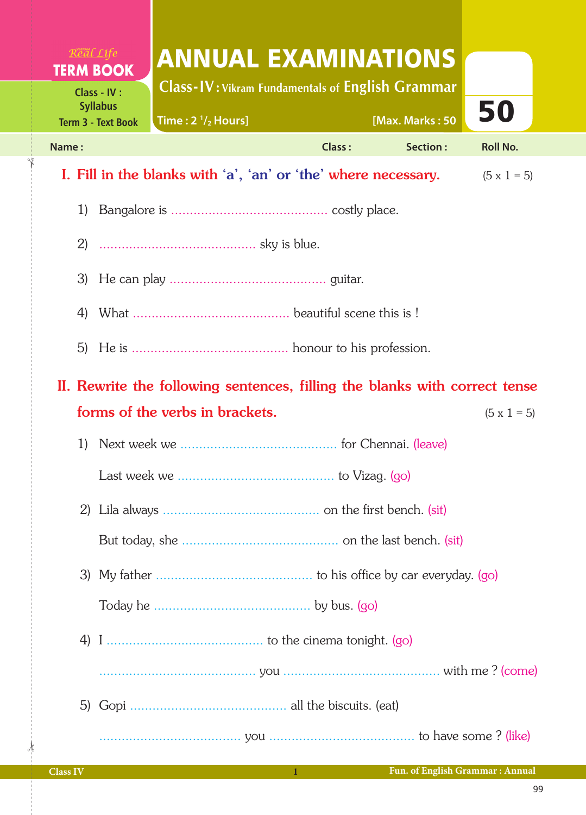| Real Life<br><b>ANNUAL EXAMINATIONS</b><br><b>TERM BOOK</b>                                                                                             |        |                 |                    |  |  |  |  |  |  |
|---------------------------------------------------------------------------------------------------------------------------------------------------------|--------|-----------------|--------------------|--|--|--|--|--|--|
| <b>Class-IV: Vikram Fundamentals of English Grammar</b><br>Class - IV :<br><b>Syllabus</b><br>Time: $2 \frac{1}{2}$ Hours]<br><b>Term 3 - Text Book</b> |        | [Max. Marks: 50 | 50                 |  |  |  |  |  |  |
| Name:                                                                                                                                                   | Class: | Section:        | <b>Roll No.</b>    |  |  |  |  |  |  |
| I. Fill in the blanks with 'a', 'an' or 'the' where necessary.                                                                                          |        |                 | $(5 \times 1 = 5)$ |  |  |  |  |  |  |
| 1)                                                                                                                                                      |        |                 |                    |  |  |  |  |  |  |
|                                                                                                                                                         |        |                 |                    |  |  |  |  |  |  |
| 3)                                                                                                                                                      |        |                 |                    |  |  |  |  |  |  |
| 4)                                                                                                                                                      |        |                 |                    |  |  |  |  |  |  |
|                                                                                                                                                         |        |                 |                    |  |  |  |  |  |  |
| 5)                                                                                                                                                      |        |                 |                    |  |  |  |  |  |  |
| II. Rewrite the following sentences, filling the blanks with correct tense                                                                              |        |                 |                    |  |  |  |  |  |  |
| forms of the verbs in brackets.                                                                                                                         |        |                 | $(5 \times 1 = 5)$ |  |  |  |  |  |  |
| 1)                                                                                                                                                      |        |                 |                    |  |  |  |  |  |  |
|                                                                                                                                                         |        |                 |                    |  |  |  |  |  |  |
|                                                                                                                                                         |        |                 |                    |  |  |  |  |  |  |
|                                                                                                                                                         |        |                 |                    |  |  |  |  |  |  |
|                                                                                                                                                         |        |                 |                    |  |  |  |  |  |  |
|                                                                                                                                                         |        |                 |                    |  |  |  |  |  |  |
|                                                                                                                                                         |        |                 |                    |  |  |  |  |  |  |
|                                                                                                                                                         |        |                 |                    |  |  |  |  |  |  |
|                                                                                                                                                         |        |                 |                    |  |  |  |  |  |  |
|                                                                                                                                                         |        |                 |                    |  |  |  |  |  |  |

 $\frac{1}{2}$ 

 $\overline{\mathbf{r}}$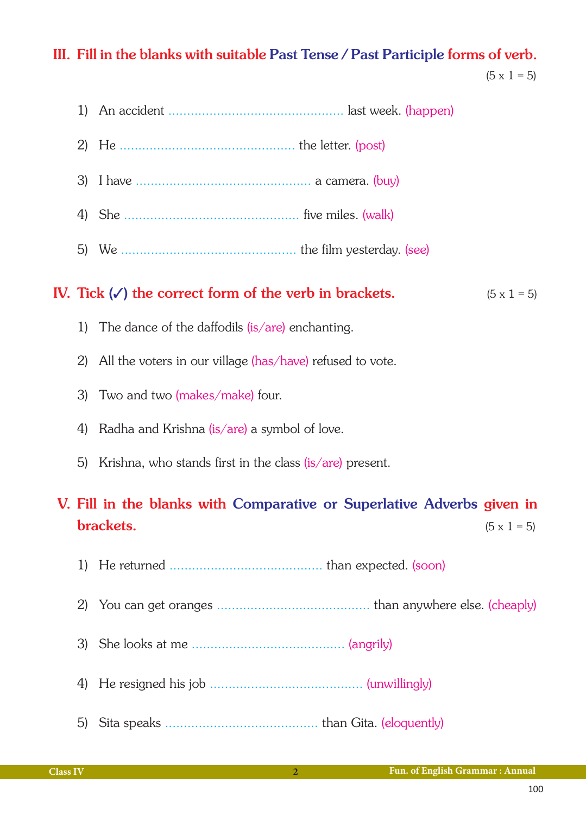## III. Fill in the blanks with suitable Past Tense / Past Participle forms of verb.

 $(5 \times 1 = 5)$ 

|                                                                                                           | 1) |                                                                                         |  |  |  |  |  |
|-----------------------------------------------------------------------------------------------------------|----|-----------------------------------------------------------------------------------------|--|--|--|--|--|
|                                                                                                           | 2) |                                                                                         |  |  |  |  |  |
|                                                                                                           | 3) |                                                                                         |  |  |  |  |  |
|                                                                                                           |    |                                                                                         |  |  |  |  |  |
|                                                                                                           |    |                                                                                         |  |  |  |  |  |
|                                                                                                           |    | IV. Tick $(\checkmark)$ the correct form of the verb in brackets.<br>$(5 \times 1 = 5)$ |  |  |  |  |  |
|                                                                                                           | 1) | The dance of the daffodils $(is/are)$ enchanting.                                       |  |  |  |  |  |
|                                                                                                           | 2) | All the voters in our village (has/have) refused to vote.                               |  |  |  |  |  |
|                                                                                                           | 3) | Two and two (makes/make) four.                                                          |  |  |  |  |  |
|                                                                                                           | 4) | Radha and Krishna (is/are) a symbol of love.                                            |  |  |  |  |  |
|                                                                                                           | 5) | Krishna, who stands first in the class (is/are) present.                                |  |  |  |  |  |
| V. Fill in the blanks with Comparative or Superlative Adverbs given in<br>brackets.<br>$(5 \times 1 = 5)$ |    |                                                                                         |  |  |  |  |  |
|                                                                                                           | 1) |                                                                                         |  |  |  |  |  |
|                                                                                                           | 2) |                                                                                         |  |  |  |  |  |
|                                                                                                           | 3) |                                                                                         |  |  |  |  |  |
|                                                                                                           | 4) |                                                                                         |  |  |  |  |  |

5) Sita speaks ......................................... than Gita. (eloquently)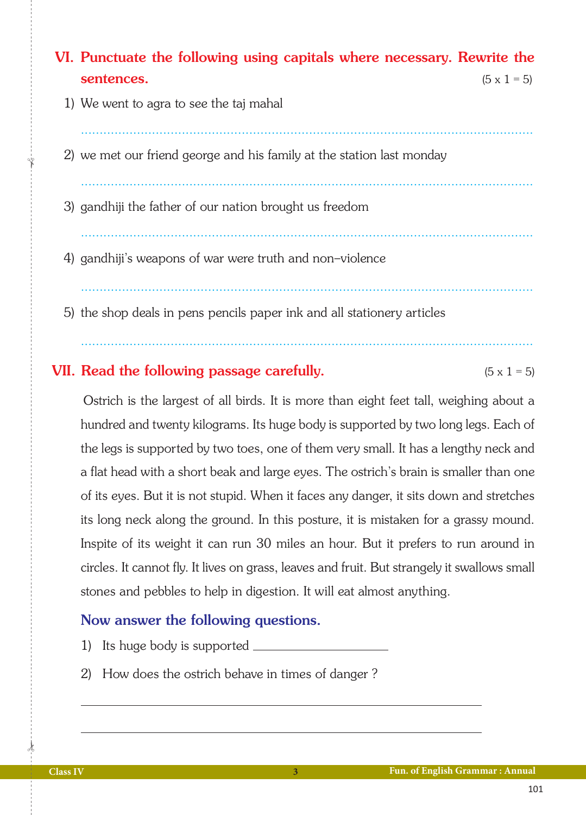## VI. Punctuate the following using capitals where necessary. Rewrite the sentences.  $(5 \times 1 = 5)$

- 1) We went to agra to see the taj mahal
- 2) we met our friend george and his family at the station last monday

.........................................................................................................................

.........................................................................................................................

.........................................................................................................................

.........................................................................................................................

- 3) gandhiji the father of our nation brought us freedom
- 4) gandhiji's weapons of war were truth and non-violence
- 5) the shop deals in pens pencils paper ink and all stationery articles

## **VII.** Read the following passage carefully.  $(5 \times 1 = 5)$

 Ostrich is the largest of all birds. It is more than eight feet tall, weighing about a hundred and twenty kilograms. Its huge body is supported by two long legs. Each of the legs is supported by two toes, one of them very small. It has a lengthy neck and a flat head with a short beak and large eyes. The ostrich's brain is smaller than one of its eyes. But it is not stupid. When it faces any danger, it sits down and stretches its long neck along the ground. In this posture, it is mistaken for a grassy mound. Inspite of its weight it can run 30 miles an hour. But it prefers to run around in circles. It cannot fly. It lives on grass, leaves and fruit. But strangely it swallows small stones and pebbles to help in digestion. It will eat almost anything.

## Now answer the following questions.

- 1) Its huge body is supported
- 2) How does the ostrich behave in times of danger ?

 $\frac{1}{2}$ 

✁